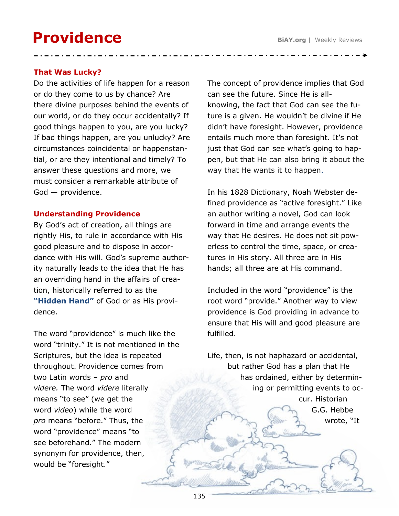## **Providence**

Do the activities of life happen for a reason or do they come to us by chance? Are there divine purposes behind the events of our world, or do they occur accidentally? If good things happen to you, are you lucky? If bad things happen, are you unlucky? Are circumstances coincidental or happenstantial, or are they intentional and timely? To answer these questions and more, we must consider a remarkable attribute of God — providence.

## **Understanding Providence**

By God's act of creation, all things are rightly His, to rule in accordance with His good pleasure and to dispose in accordance with His will. God's supreme authority naturally leads to the idea that He has an overriding hand in the affairs of creation, historically referred to as the **"Hidden Hand"** of God or as His providence.

The word "providence" is much like the word "trinity." It is not mentioned in the Scriptures, but the idea is repeated throughout. Providence comes from two Latin words – *pro* and *videre.* The word *videre* literally means "to see" (we get the word *video*) while the word *pro* means "before." Thus, the word "providence" means "to see beforehand." The modern synonym for providence, then, would be "foresight."

The concept of providence implies that God can see the future. Since He is allknowing, the fact that God can see the future is a given. He wouldn't be divine if He didn't have foresight. However, providence entails much more than foresight. It's not just that God can see what's going to happen, but that He can also bring it about the way that He wants it to happen.

In his 1828 Dictionary, Noah Webster defined providence as "active foresight." Like an author writing a novel, God can look forward in time and arrange events the way that He desires. He does not sit powerless to control the time, space, or creatures in His story. All three are in His hands; all three are at His command.

Included in the word "providence" is the root word "provide." Another way to view providence is God providing in advance to ensure that His will and good pleasure are fulfilled.

Life, then, is not haphazard or accidental, but rather God has a plan that He has ordained, either by determining or permitting events to occur. Historian G.G. Hebbe

wrote, "It